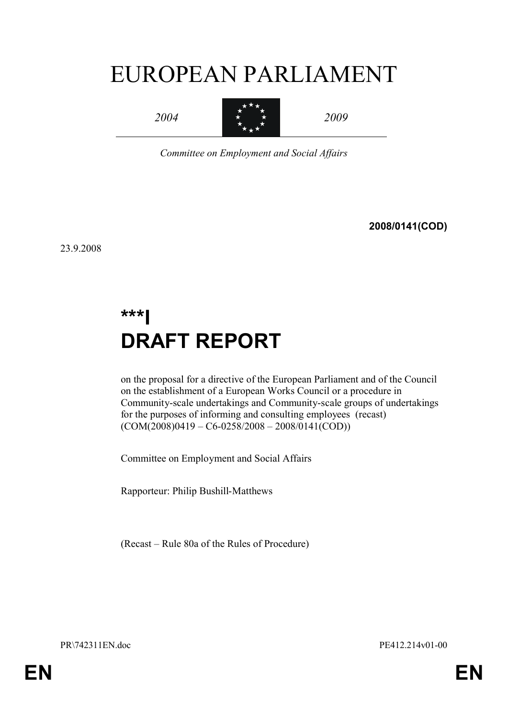# EUROPEAN PARLIAMENT

*2004*



*2009*

*Committee on Employment and Social Affairs*

**2008/0141(COD)**

23.9.2008

# **\*\*\*I DRAFT REPORT**

on the proposal for a directive of the European Parliament and of the Council on the establishment of a European Works Council or a procedure in Community-scale undertakings and Community-scale groups of undertakings for the purposes of informing and consulting employees (recast)  $(COM(2008)0419 - C6 - 0258/2008 - 2008/0141(COD))$ 

Committee on Employment and Social Affairs

Rapporteur: Philip Bushill-Matthews

(Recast – Rule 80a of the Rules of Procedure)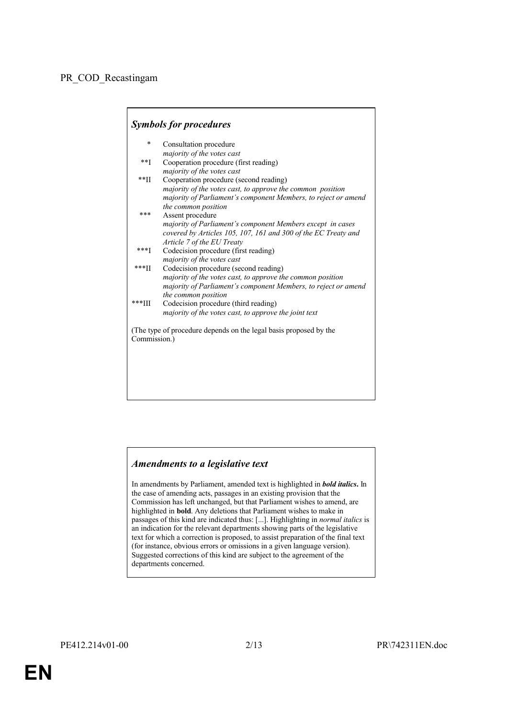| <b>Symbols for procedures</b> |                                                                   |  |
|-------------------------------|-------------------------------------------------------------------|--|
| *                             | Consultation procedure                                            |  |
|                               | majority of the votes cast                                        |  |
| **I                           | Cooperation procedure (first reading)                             |  |
|                               | majority of the votes cast                                        |  |
| **∏                           | Cooperation procedure (second reading)                            |  |
|                               | majority of the votes cast, to approve the common position        |  |
|                               | majority of Parliament's component Members, to reject or amend    |  |
|                               | the common position                                               |  |
| ***                           | Assent procedure                                                  |  |
|                               | majority of Parliament's component Members except in cases        |  |
|                               | covered by Articles 105, 107, 161 and 300 of the EC Treaty and    |  |
|                               | Article 7 of the EU Treaty                                        |  |
| $***$ <sup>T</sup>            | Codecision procedure (first reading)                              |  |
|                               | majority of the votes cast                                        |  |
| ***∐                          | Codecision procedure (second reading)                             |  |
|                               | majority of the votes cast, to approve the common position        |  |
|                               | majority of Parliament's component Members, to reject or amend    |  |
| ***III                        | the common position                                               |  |
|                               | Codecision procedure (third reading)                              |  |
|                               | majority of the votes cast, to approve the joint text             |  |
|                               | (The type of procedure depends on the legal basis proposed by the |  |
| Commission.)                  |                                                                   |  |
|                               |                                                                   |  |
|                               |                                                                   |  |
|                               |                                                                   |  |
|                               |                                                                   |  |
|                               |                                                                   |  |

### *Amendments to a legislative text*

In amendments by Parliament, amended text is highlighted in *bold italics***.** In the case of amending acts, passages in an existing provision that the Commission has left unchanged, but that Parliament wishes to amend, are highlighted in **bold**. Any deletions that Parliament wishes to make in passages of this kind are indicated thus: [...]. Highlighting in *normal italics* is an indication for the relevant departments showing parts of the legislative text for which a correction is proposed, to assist preparation of the final text (for instance, obvious errors or omissions in a given language version). Suggested corrections of this kind are subject to the agreement of the departments concerned.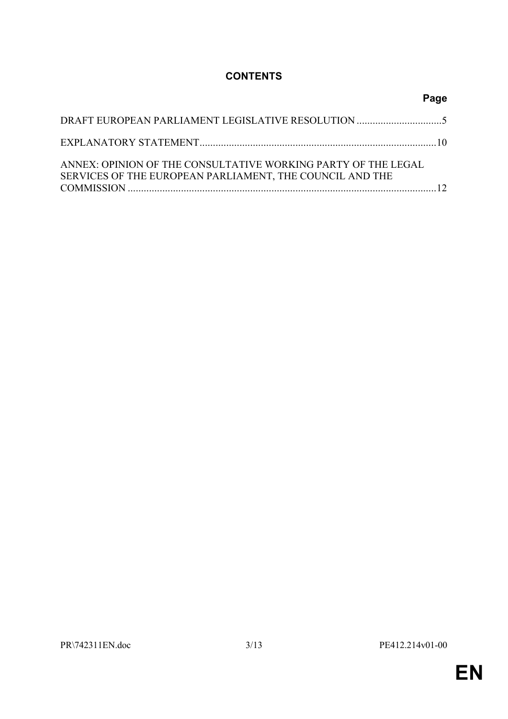# **CONTENTS**

|                                                                                                                           | Page |
|---------------------------------------------------------------------------------------------------------------------------|------|
|                                                                                                                           |      |
|                                                                                                                           |      |
| ANNEX: OPINION OF THE CONSULTATIVE WORKING PARTY OF THE LEGAL<br>SERVICES OF THE EUROPEAN PARLIAMENT, THE COUNCIL AND THE |      |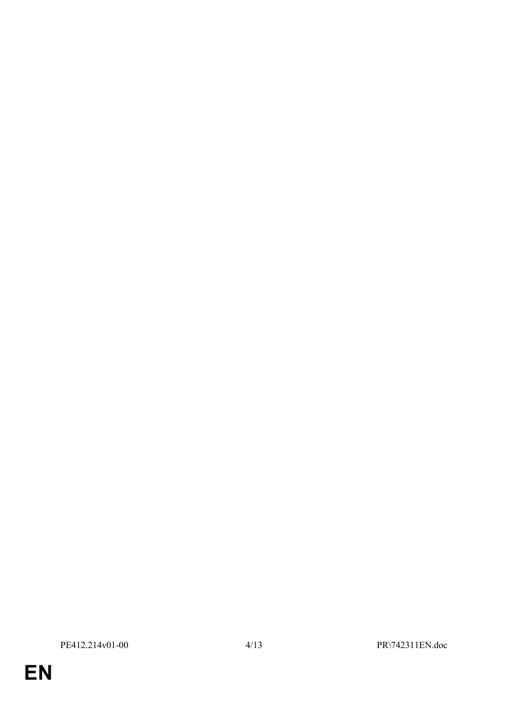PE412.214v01-00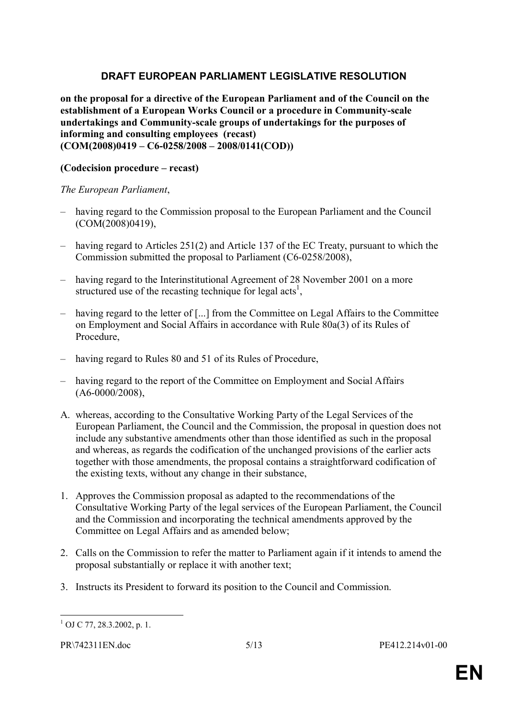# **DRAFT EUROPEAN PARLIAMENT LEGISLATIVE RESOLUTION**

**on the proposal for a directive of the European Parliament and of the Council on the establishment of a European Works Council or a procedure in Community-scale undertakings and Community-scale groups of undertakings for the purposes of informing and consulting employees (recast) (COM(2008)0419 – C6-0258/2008 – 2008/0141(COD))**

#### **(Codecision procedure – recast)**

#### *The European Parliament*,

- having regard to the Commission proposal to the European Parliament and the Council (COM(2008)0419),
- having regard to Articles 251(2) and Article 137 of the EC Treaty, pursuant to which the Commission submitted the proposal to Parliament (C6-0258/2008),
- having regard to the Interinstitutional Agreement of 28 November 2001 on a more structured use of the recasting technique for legal  $acts<sup>1</sup>$ ,
- having regard to the letter of [...] from the Committee on Legal Affairs to the Committee on Employment and Social Affairs in accordance with Rule 80a(3) of its Rules of Procedure,
- having regard to Rules 80 and 51 of its Rules of Procedure,
- having regard to the report of the Committee on Employment and Social Affairs (A6-0000/2008),
- A. whereas, according to the Consultative Working Party of the Legal Services of the European Parliament, the Council and the Commission, the proposal in question does not include any substantive amendments other than those identified as such in the proposal and whereas, as regards the codification of the unchanged provisions of the earlier acts together with those amendments, the proposal contains a straightforward codification of the existing texts, without any change in their substance,
- 1. Approves the Commission proposal as adapted to the recommendations of the Consultative Working Party of the legal services of the European Parliament, the Council and the Commission and incorporating the technical amendments approved by the Committee on Legal Affairs and as amended below;
- 2. Calls on the Commission to refer the matter to Parliament again if it intends to amend the proposal substantially or replace it with another text;
- 3. Instructs its President to forward its position to the Council and Commission.

PR\742311EN.doc 5/13 PE412.214v01-00

 1 OJ C 77, 28.3.2002, p. 1.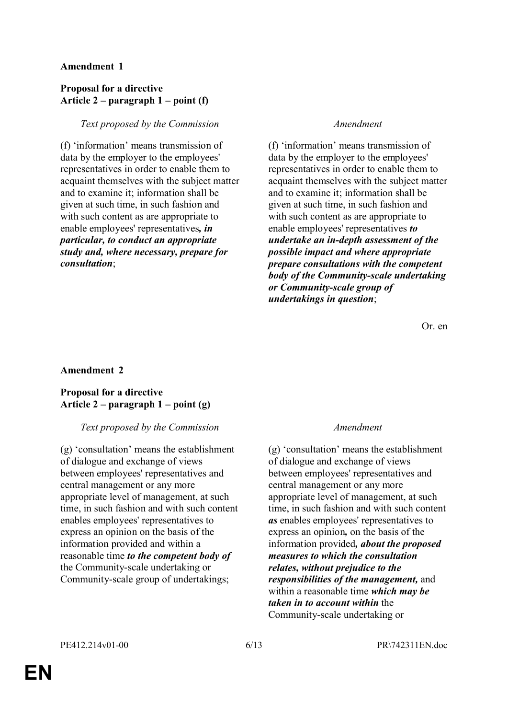#### **Amendment 1**

### **Proposal for a directive Article 2 – paragraph 1 – point (f)**

#### *Text proposed by the Commission Amendment*

(f) 'information' means transmission of data by the employer to the employees' representatives in order to enable them to acquaint themselves with the subject matter and to examine it; information shall be given at such time, in such fashion and with such content as are appropriate to enable employees' representatives*, in particular, to conduct an appropriate study and, where necessary, prepare for consultation*;

(f) 'information' means transmission of data by the employer to the employees' representatives in order to enable them to acquaint themselves with the subject matter and to examine it; information shall be given at such time, in such fashion and with such content as are appropriate to enable employees' representatives *to undertake an in-depth assessment of the possible impact and where appropriate prepare consultations with the competent body of the Community-scale undertaking or Community-scale group of undertakings in question*;

Or. en

#### **Amendment 2**

#### **Proposal for a directive Article 2 – paragraph 1 – point (g)**

#### *Text proposed by the Commission Amendment*

(g) 'consultation' means the establishment of dialogue and exchange of views between employees' representatives and central management or any more appropriate level of management, at such time, in such fashion and with such content enables employees' representatives to express an opinion on the basis of the information provided and within a reasonable time *to the competent body of* the Community-scale undertaking or Community-scale group of undertakings;

(g) 'consultation' means the establishment of dialogue and exchange of views between employees' representatives and central management or any more appropriate level of management, at such time, in such fashion and with such content *as* enables employees' representatives to express an opinion*,* on the basis of the information provided*, about the proposed measures to which the consultation relates, without prejudice to the responsibilities of the management,* and within a reasonable time *which may be taken in to account within* the Community-scale undertaking or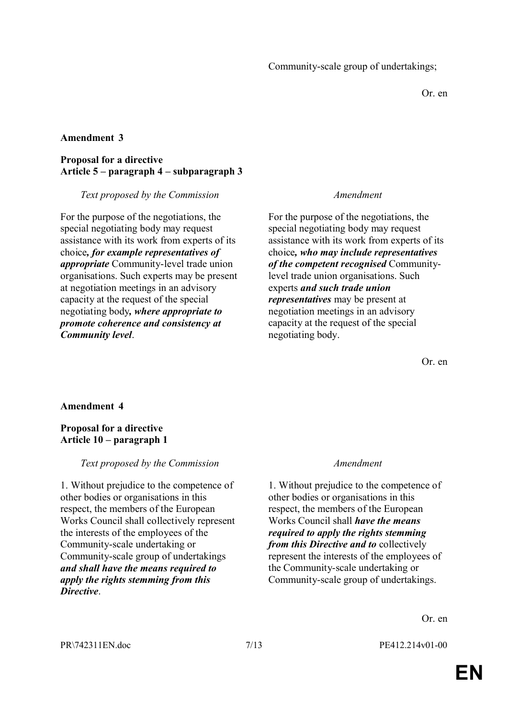Or. en

#### **Amendment 3**

### **Proposal for a directive Article 5 – paragraph 4 – subparagraph 3**

#### *Text proposed by the Commission Amendment*

For the purpose of the negotiations, the special negotiating body may request assistance with its work from experts of its choice*, for example representatives of appropriate* Community-level trade union organisations. Such experts may be present at negotiation meetings in an advisory capacity at the request of the special negotiating body*, where appropriate to promote coherence and consistency at Community level*.

For the purpose of the negotiations, the special negotiating body may request assistance with its work from experts of its choice*, who may include representatives of the competent recognised* Communitylevel trade union organisations. Such experts *and such trade union representatives* may be present at negotiation meetings in an advisory capacity at the request of the special negotiating body.

Or. en

### **Amendment 4**

#### **Proposal for a directive Article 10 – paragraph 1**

### *Text proposed by the Commission Amendment*

1. Without prejudice to the competence of other bodies or organisations in this respect, the members of the European Works Council shall collectively represent the interests of the employees of the Community-scale undertaking or Community-scale group of undertakings *and shall have the means required to apply the rights stemming from this Directive*.

1. Without prejudice to the competence of other bodies or organisations in this respect, the members of the European Works Council shall *have the means required to apply the rights stemming from this Directive and to* collectively represent the interests of the employees of the Community-scale undertaking or Community-scale group of undertakings.

Or. en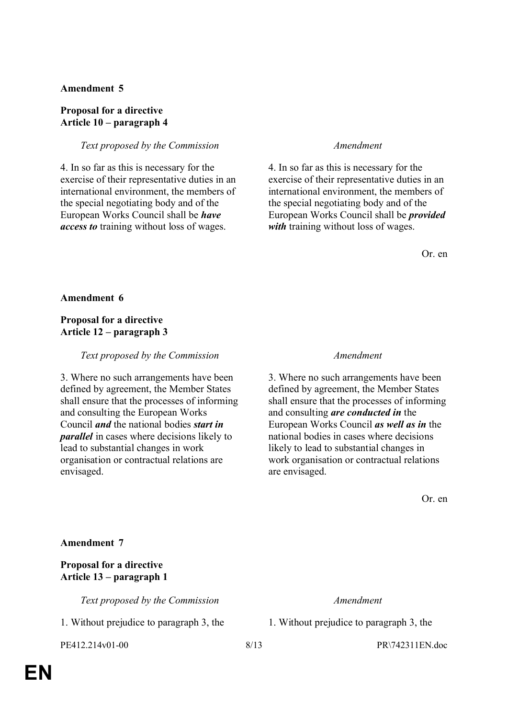#### **Amendment 5**

#### **Proposal for a directive Article 10 – paragraph 4**

#### *Text proposed by the Commission Amendment*

4. In so far as this is necessary for the exercise of their representative duties in an international environment, the members of the special negotiating body and of the European Works Council shall be *have access to* training without loss of wages.

4. In so far as this is necessary for the exercise of their representative duties in an international environment, the members of the special negotiating body and of the European Works Council shall be *provided with* training without loss of wages.

Or. en

#### **Amendment 6**

#### **Proposal for a directive Article 12 – paragraph 3**

#### *Text proposed by the Commission Amendment*

3. Where no such arrangements have been defined by agreement, the Member States shall ensure that the processes of informing and consulting the European Works Council *and* the national bodies *start in parallel* in cases where decisions likely to lead to substantial changes in work organisation or contractual relations are envisaged.

3. Where no such arrangements have been defined by agreement, the Member States shall ensure that the processes of informing and consulting *are conducted in* the European Works Council *as well as in* the national bodies in cases where decisions likely to lead to substantial changes in work organisation or contractual relations are envisaged.

Or. en

**Amendment 7**

**Proposal for a directive Article 13 – paragraph 1**

*Text proposed by the Commission Amendment*

1. Without prejudice to paragraph 3, the 1. Without prejudice to paragraph 3, the

PE412.214v01-00 8/13 PR\742311EN.doc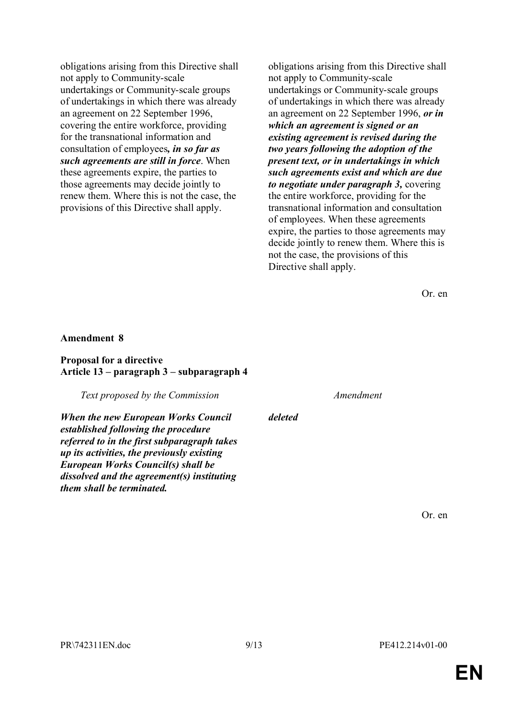obligations arising from this Directive shall not apply to Community-scale undertakings or Community-scale groups of undertakings in which there was already an agreement on 22 September 1996, covering the entire workforce, providing for the transnational information and consultation of employees*, in so far as such agreements are still in force*. When these agreements expire, the parties to those agreements may decide jointly to renew them. Where this is not the case, the provisions of this Directive shall apply.

obligations arising from this Directive shall not apply to Community-scale undertakings or Community-scale groups of undertakings in which there was already an agreement on 22 September 1996, *or in which an agreement is signed or an existing agreement is revised during the two years following the adoption of the present text, or in undertakings in which such agreements exist and which are due to negotiate under paragraph 3,* covering the entire workforce, providing for the transnational information and consultation of employees. When these agreements expire, the parties to those agreements may decide jointly to renew them. Where this is not the case, the provisions of this Directive shall apply.

Or. en

#### **Amendment 8**

#### **Proposal for a directive Article 13 – paragraph 3 – subparagraph 4**

*Text proposed by the Commission Amendment*

*When the new European Works Council established following the procedure referred to in the first subparagraph takes up its activities, the previously existing European Works Council(s) shall be dissolved and the agreement(s) instituting them shall be terminated.*

*deleted*

Or. en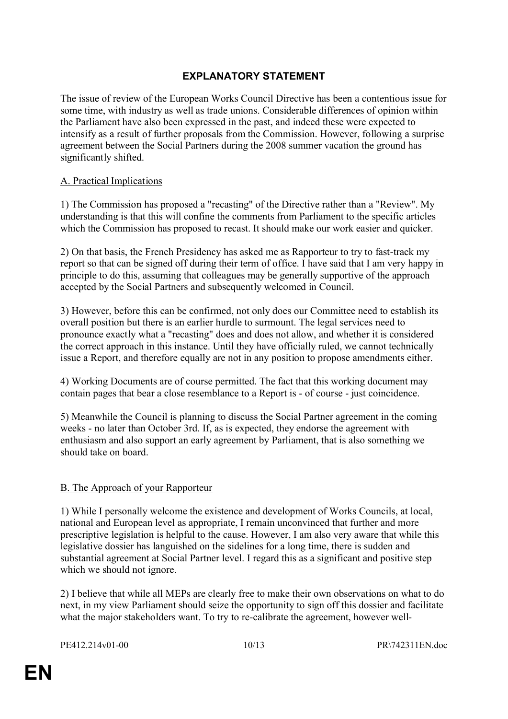# **EXPLANATORY STATEMENT**

The issue of review of the European Works Council Directive has been a contentious issue for some time, with industry as well as trade unions. Considerable differences of opinion within the Parliament have also been expressed in the past, and indeed these were expected to intensify as a result of further proposals from the Commission. However, following a surprise agreement between the Social Partners during the 2008 summer vacation the ground has significantly shifted.

# A. Practical Implications

1) The Commission has proposed a "recasting" of the Directive rather than a "Review". My understanding is that this will confine the comments from Parliament to the specific articles which the Commission has proposed to recast. It should make our work easier and quicker.

2) On that basis, the French Presidency has asked me as Rapporteur to try to fast-track my report so that can be signed off during their term of office. I have said that I am very happy in principle to do this, assuming that colleagues may be generally supportive of the approach accepted by the Social Partners and subsequently welcomed in Council.

3) However, before this can be confirmed, not only does our Committee need to establish its overall position but there is an earlier hurdle to surmount. The legal services need to pronounce exactly what a "recasting" does and does not allow, and whether it is considered the correct approach in this instance. Until they have officially ruled, we cannot technically issue a Report, and therefore equally are not in any position to propose amendments either.

4) Working Documents are of course permitted. The fact that this working document may contain pages that bear a close resemblance to a Report is - of course - just coincidence.

5) Meanwhile the Council is planning to discuss the Social Partner agreement in the coming weeks - no later than October 3rd. If, as is expected, they endorse the agreement with enthusiasm and also support an early agreement by Parliament, that is also something we should take on board.

# B. The Approach of your Rapporteur

1) While I personally welcome the existence and development of Works Councils, at local, national and European level as appropriate, I remain unconvinced that further and more prescriptive legislation is helpful to the cause. However, I am also very aware that while this legislative dossier has languished on the sidelines for a long time, there is sudden and substantial agreement at Social Partner level. I regard this as a significant and positive step which we should not ignore.

2) I believe that while all MEPs are clearly free to make their own observations on what to do next, in my view Parliament should seize the opportunity to sign off this dossier and facilitate what the major stakeholders want. To try to re-calibrate the agreement, however well-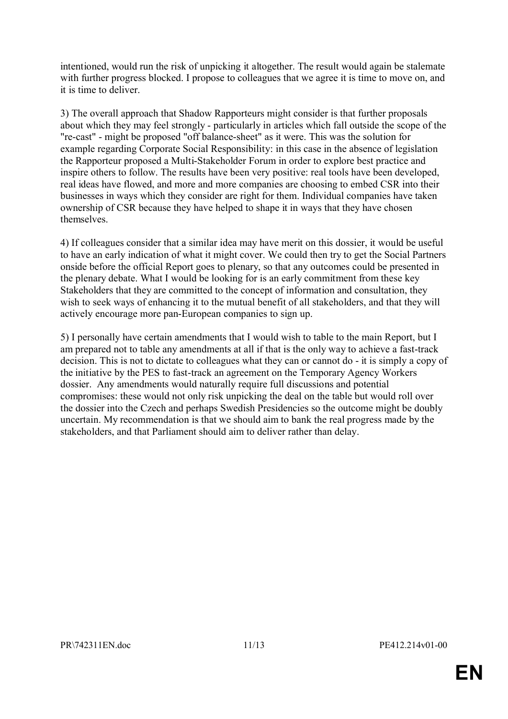intentioned, would run the risk of unpicking it altogether. The result would again be stalemate with further progress blocked. I propose to colleagues that we agree it is time to move on, and it is time to deliver.

3) The overall approach that Shadow Rapporteurs might consider is that further proposals about which they may feel strongly - particularly in articles which fall outside the scope of the "re-cast" - might be proposed "off balance-sheet" as it were. This was the solution for example regarding Corporate Social Responsibility: in this case in the absence of legislation the Rapporteur proposed a Multi-Stakeholder Forum in order to explore best practice and inspire others to follow. The results have been very positive: real tools have been developed, real ideas have flowed, and more and more companies are choosing to embed CSR into their businesses in ways which they consider are right for them. Individual companies have taken ownership of CSR because they have helped to shape it in ways that they have chosen themselves.

4) If colleagues consider that a similar idea may have merit on this dossier, it would be useful to have an early indication of what it might cover. We could then try to get the Social Partners onside before the official Report goes to plenary, so that any outcomes could be presented in the plenary debate. What I would be looking for is an early commitment from these key Stakeholders that they are committed to the concept of information and consultation, they wish to seek ways of enhancing it to the mutual benefit of all stakeholders, and that they will actively encourage more pan-European companies to sign up.

5) I personally have certain amendments that I would wish to table to the main Report, but I am prepared not to table any amendments at all if that is the only way to achieve a fast-track decision. This is not to dictate to colleagues what they can or cannot do - it is simply a copy of the initiative by the PES to fast-track an agreement on the Temporary Agency Workers dossier. Any amendments would naturally require full discussions and potential compromises: these would not only risk unpicking the deal on the table but would roll over the dossier into the Czech and perhaps Swedish Presidencies so the outcome might be doubly uncertain. My recommendation is that we should aim to bank the real progress made by the stakeholders, and that Parliament should aim to deliver rather than delay.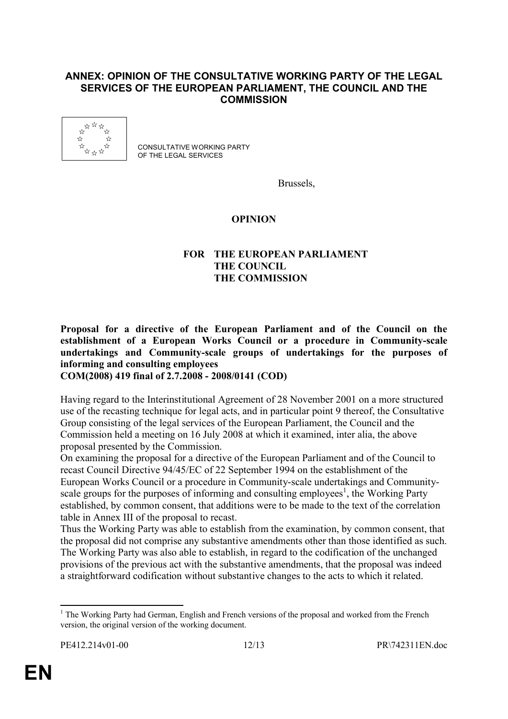## **ANNEX: OPINION OF THE CONSULTATIVE WORKING PARTY OF THE LEGAL SERVICES OF THE EUROPEAN PARLIAMENT, THE COUNCIL AND THE COMMISSION**



CONSULTATIVE WORKING PARTY OF THE LEGAL SERVICES

Brussels,

# **OPINION**

# **FOR THE EUROPEAN PARLIAMENT THE COUNCIL THE COMMISSION**

**Proposal for a directive of the European Parliament and of the Council on the establishment of a European Works Council or a procedure in Community-scale undertakings and Community-scale groups of undertakings for the purposes of informing and consulting employees**

### **COM(2008) 419 final of 2.7.2008 - 2008/0141 (COD)**

Having regard to the Interinstitutional Agreement of 28 November 2001 on a more structured use of the recasting technique for legal acts, and in particular point 9 thereof, the Consultative Group consisting of the legal services of the European Parliament, the Council and the Commission held a meeting on 16 July 2008 at which it examined, inter alia, the above proposal presented by the Commission.

On examining the proposal for a directive of the European Parliament and of the Council to recast Council Directive 94/45/EC of 22 September 1994 on the establishment of the European Works Council or a procedure in Community-scale undertakings and Communityscale groups for the purposes of informing and consulting employees<sup>1</sup>, the Working Party established, by common consent, that additions were to be made to the text of the correlation table in Annex III of the proposal to recast.

Thus the Working Party was able to establish from the examination, by common consent, that the proposal did not comprise any substantive amendments other than those identified as such. The Working Party was also able to establish, in regard to the codification of the unchanged provisions of the previous act with the substantive amendments, that the proposal was indeed a straightforward codification without substantive changes to the acts to which it related.

<sup>&</sup>lt;u>.</u> <sup>1</sup> The Working Party had German, English and French versions of the proposal and worked from the French version, the original version of the working document.